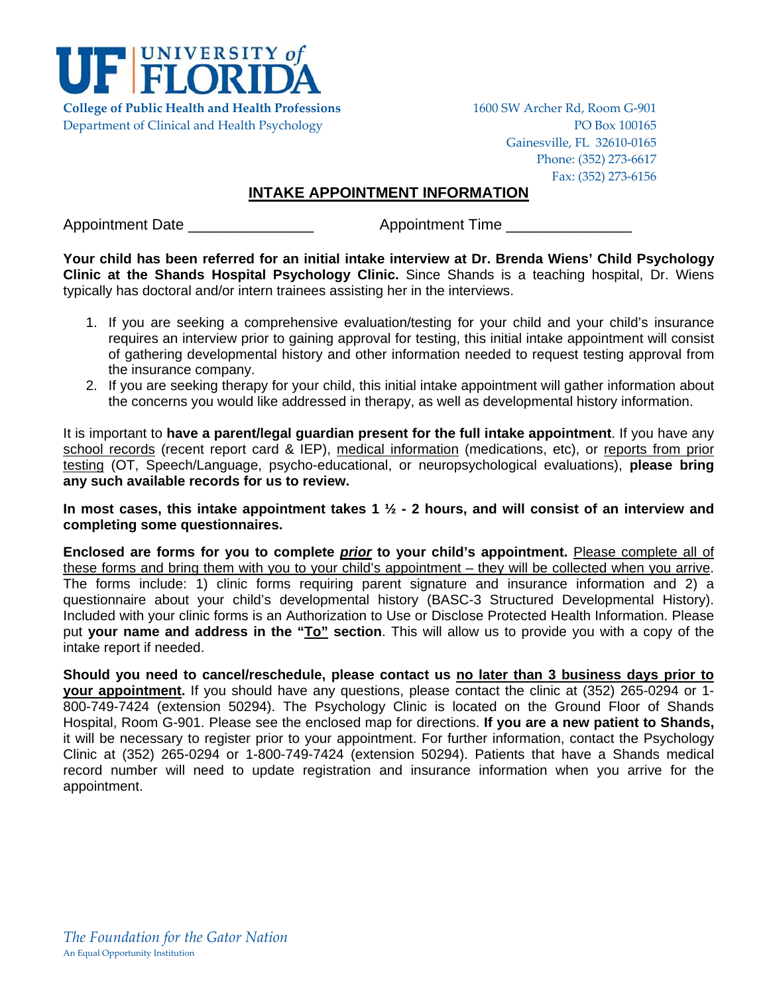

Department of Clinical and Health Psychology PO Box 100165

Gainesville, FL 32610‐0165 Phone: (352) 273‐6617 Fax: (352) 273‐6156

# **INTAKE APPOINTMENT INFORMATION**

Appointment Date \_\_\_\_\_\_\_\_\_\_\_\_\_\_\_ Appointment Time \_\_\_\_\_\_\_\_\_\_\_\_\_\_\_

**Your child has been referred for an initial intake interview at Dr. Brenda Wiens' Child Psychology Clinic at the Shands Hospital Psychology Clinic.** Since Shands is a teaching hospital, Dr. Wiens typically has doctoral and/or intern trainees assisting her in the interviews.

- 1. If you are seeking a comprehensive evaluation/testing for your child and your child's insurance requires an interview prior to gaining approval for testing, this initial intake appointment will consist of gathering developmental history and other information needed to request testing approval from the insurance company.
- 2. If you are seeking therapy for your child, this initial intake appointment will gather information about the concerns you would like addressed in therapy, as well as developmental history information.

It is important to **have a parent/legal guardian present for the full intake appointment**. If you have any school records (recent report card & IEP), medical information (medications, etc), or reports from prior testing (OT, Speech/Language, psycho-educational, or neuropsychological evaluations), **please bring any such available records for us to review.** 

**In most cases, this intake appointment takes 1 ½ - 2 hours, and will consist of an interview and completing some questionnaires.** 

**Enclosed are forms for you to complete** *prior* **to your child's appointment.** Please complete all of these forms and bring them with you to your child's appointment – they will be collected when you arrive. The forms include: 1) clinic forms requiring parent signature and insurance information and 2) a questionnaire about your child's developmental history (BASC-3 Structured Developmental History). Included with your clinic forms is an Authorization to Use or Disclose Protected Health Information. Please put **your name and address in the "To" section**. This will allow us to provide you with a copy of the intake report if needed.

**Should you need to cancel/reschedule, please contact us no later than 3 business days prior to your appointment.** If you should have any questions, please contact the clinic at (352) 265-0294 or 1- 800-749-7424 (extension 50294). The Psychology Clinic is located on the Ground Floor of Shands Hospital, Room G-901. Please see the enclosed map for directions. **If you are a new patient to Shands,** it will be necessary to register prior to your appointment. For further information, contact the Psychology Clinic at (352) 265-0294 or 1-800-749-7424 (extension 50294). Patients that have a Shands medical record number will need to update registration and insurance information when you arrive for the appointment.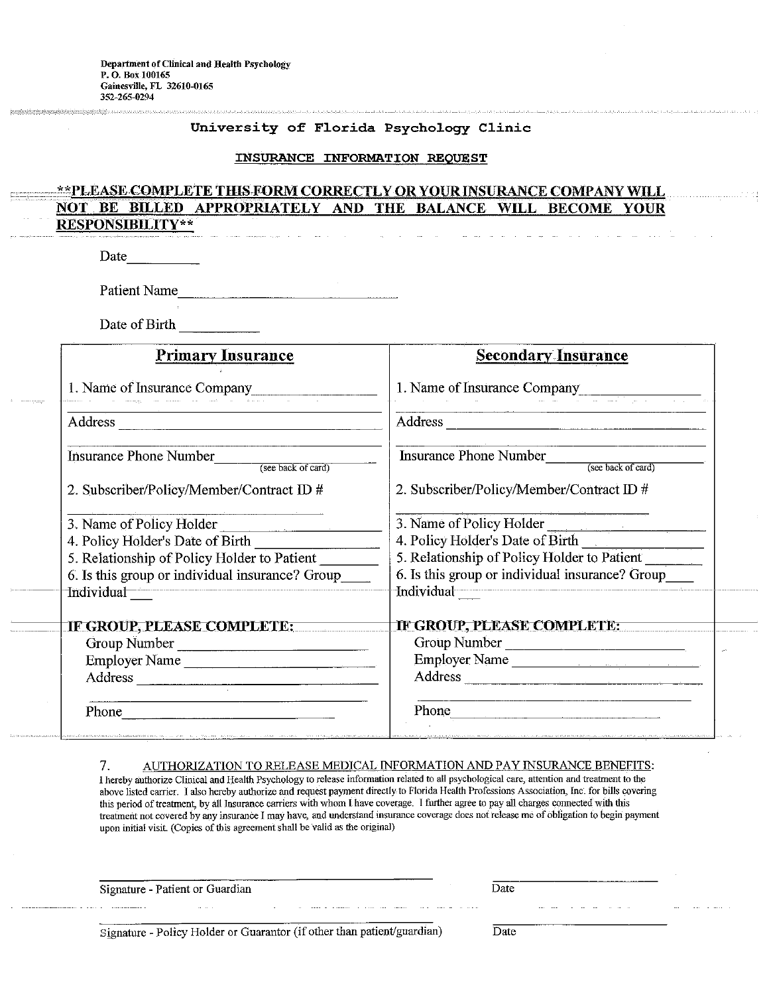#### University of Florida Psychology Clinic

#### INSURANCE INFORMATION REQUEST

#### \*\*PLEASE COMPLETE THIS FORM CORRECTLY OR YOUR INSURANCE COMPANY WILL **NOT** BILLED APPROPRIATELY AND THE BALANCE WILL BECOME **BE YOUR RESPONSIBILITY\*\***

Date

Patient Name

Date of Birth

| <b>Primary Insurance</b>                                                                                                                                                                                                        | <b>Secondary Insurance</b>                          |  |  |  |  |
|---------------------------------------------------------------------------------------------------------------------------------------------------------------------------------------------------------------------------------|-----------------------------------------------------|--|--|--|--|
| 1. Name of Insurance Company                                                                                                                                                                                                    | 1. Name of Insurance Company                        |  |  |  |  |
|                                                                                                                                                                                                                                 | Address                                             |  |  |  |  |
| <b>Insurance Phone Number</b><br>(see back of card)                                                                                                                                                                             | <b>Insurance Phone Number</b><br>(see back of card) |  |  |  |  |
| 2. Subscriber/Policy/Member/Contract ID #                                                                                                                                                                                       | 2. Subscriber/Policy/Member/Contract ID #           |  |  |  |  |
| 3. Name of Policy Holder<br>$\label{eq:1} \begin{split} \mathcal{L}_{\text{max}}(\mathcal{L}_{\text{max}},\mathcal{L}_{\text{max}},\mathcal{L}_{\text{max}}) = \mathcal{L}_{\text{max}}(\mathcal{L}_{\text{max}}), \end{split}$ | 3. Name of Policy Holder                            |  |  |  |  |
| 4. Policy Holder's Date of Birth                                                                                                                                                                                                | 4. Policy Holder's Date of Birth                    |  |  |  |  |
| 5. Relationship of Policy Holder to Patient                                                                                                                                                                                     | 5. Relationship of Policy Holder to Patient         |  |  |  |  |
| 6. Is this group or individual insurance? Group                                                                                                                                                                                 | 6. Is this group or individual insurance? Group     |  |  |  |  |
| Individual                                                                                                                                                                                                                      | Individual                                          |  |  |  |  |
| IF GROUP, PLEASE COMPLETE:                                                                                                                                                                                                      | IF GROUP, PLEASE COMPLETE:                          |  |  |  |  |
| Group Number                                                                                                                                                                                                                    | Group Number                                        |  |  |  |  |
| Employer Name                                                                                                                                                                                                                   | Employer Name                                       |  |  |  |  |
|                                                                                                                                                                                                                                 | Address                                             |  |  |  |  |
|                                                                                                                                                                                                                                 | Phone                                               |  |  |  |  |

#### AUTHORIZATION TO RELEASE MEDICAL INFORMATION AND PAY INSURANCE BENEFITS: 7.

I hereby authorize Clinical and Health Psychology to release information related to all psychological care, attention and treatment to the above listed carrier. I also hereby authorize and request payment directly to Florida Health Professions Association, Inc. for bills covering this period of treatment, by all Insurance carriers with whom I have coverage. I further agree to pay all charges connected with this treatment not covered by any insurance I may have, and understand insurance coverage does not release me of obligation to begin payment upon initial visit. (Copies of this agreement shall be valid as the original)

Signature - Patient or Guardian

 $\mathbb{R}^{\mathbb{Z}}$ 

Signature - Policy Holder or Guarantor (if other than patient/guardian)

Date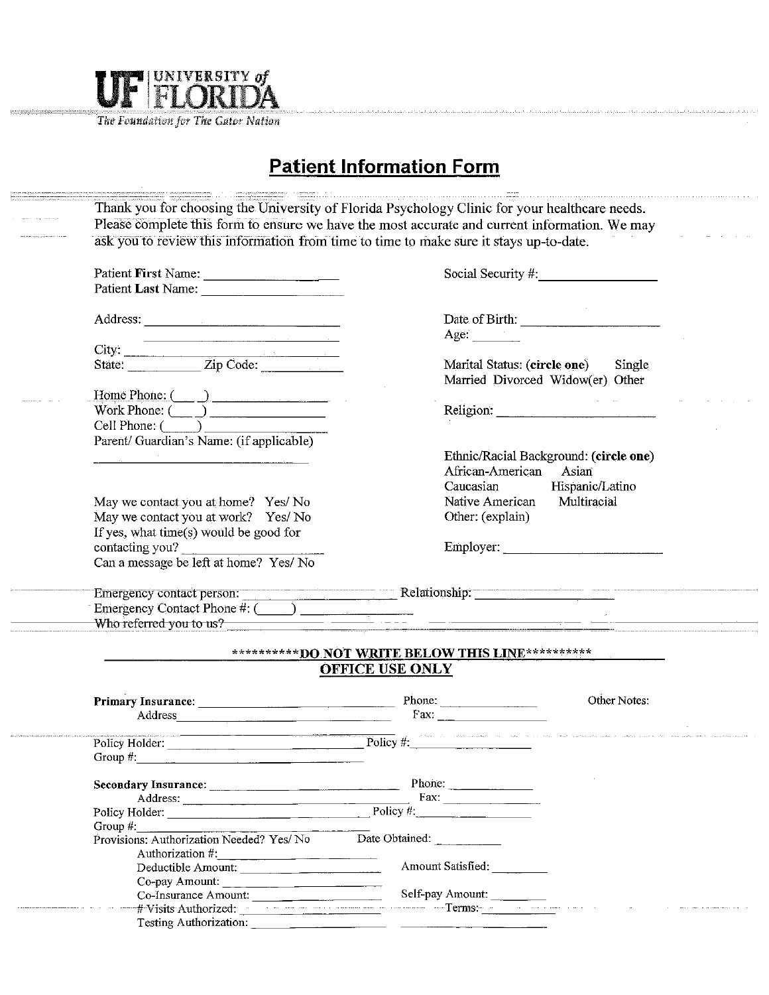

The Foundation for The Gator Nation

# **Patient Information Form**

|                                                                                                                                                                                                                                | Please complete this form to ensure we have the most accurate and current information. We may                                                                                                                                  |
|--------------------------------------------------------------------------------------------------------------------------------------------------------------------------------------------------------------------------------|--------------------------------------------------------------------------------------------------------------------------------------------------------------------------------------------------------------------------------|
|                                                                                                                                                                                                                                | ask you to review this information from time to time to make sure it stays up-to-date.                                                                                                                                         |
| Patient First Name:                                                                                                                                                                                                            | Social Security #                                                                                                                                                                                                              |
|                                                                                                                                                                                                                                |                                                                                                                                                                                                                                |
|                                                                                                                                                                                                                                |                                                                                                                                                                                                                                |
| Address:                                                                                                                                                                                                                       | Date of Birth:                                                                                                                                                                                                                 |
| the contract of the contract of the contract of the contract of the contract of                                                                                                                                                | Age: $\qquad \qquad$                                                                                                                                                                                                           |
|                                                                                                                                                                                                                                |                                                                                                                                                                                                                                |
|                                                                                                                                                                                                                                | Marital Status: (circle one) Single                                                                                                                                                                                            |
|                                                                                                                                                                                                                                | Married Divorced Widow(er) Other                                                                                                                                                                                               |
| Home Phone: ( )                                                                                                                                                                                                                |                                                                                                                                                                                                                                |
| Work Phone: $\overline{(\phantom{a})}$                                                                                                                                                                                         | Religion: New York Changes and the Changes of the Changes of the Changes of the Changes of the Changes of the Changes of the Changes of the Changes of the Changes of the Changes of the Changes of the Changes of the Changes |
| $Cell$ Phone: $(\_\_\_\_\_\_\$                                                                                                                                                                                                 |                                                                                                                                                                                                                                |
| Parent/ Guardian's Name: (if applicable)                                                                                                                                                                                       |                                                                                                                                                                                                                                |
|                                                                                                                                                                                                                                | Ethnic/Racial Background: (circle one)                                                                                                                                                                                         |
|                                                                                                                                                                                                                                | African-American<br>Asian                                                                                                                                                                                                      |
|                                                                                                                                                                                                                                | Hispanic/Latino<br>Caucasian                                                                                                                                                                                                   |
| May we contact you at home? Yes/No                                                                                                                                                                                             | Native American<br>Multiracial                                                                                                                                                                                                 |
| May we contact you at work? Yes/No                                                                                                                                                                                             | Other: (explain)                                                                                                                                                                                                               |
| If yes, what time(s) would be good for                                                                                                                                                                                         |                                                                                                                                                                                                                                |
| contacting you?                                                                                                                                                                                                                | Employer:                                                                                                                                                                                                                      |
| Can a message be left at home? Yes/ No                                                                                                                                                                                         |                                                                                                                                                                                                                                |
|                                                                                                                                                                                                                                |                                                                                                                                                                                                                                |
| Emergency Contact Phone $\#$ : $\Box$                                                                                                                                                                                          |                                                                                                                                                                                                                                |
| Who referred you to us?                                                                                                                                                                                                        | <u> 1980 - Johann John Stone, mars et al. 1980 - John Stone, mars et al. 1980 - John Stone, mars et al. 1980 - Joh</u>                                                                                                         |
|                                                                                                                                                                                                                                | ***********DO NOT WRITE BELOW THIS LINE**********                                                                                                                                                                              |
|                                                                                                                                                                                                                                | <b>OFFICE USE ONLY</b>                                                                                                                                                                                                         |
|                                                                                                                                                                                                                                | Other Notes:                                                                                                                                                                                                                   |
| Address and the contract of the contract of the contract of the contract of the contract of the contract of the contract of the contract of the contract of the contract of the contract of the contract of the contract of th | Fax: $\qquad$                                                                                                                                                                                                                  |
|                                                                                                                                                                                                                                |                                                                                                                                                                                                                                |
|                                                                                                                                                                                                                                | Policy Holder: Policy #: Policy #:                                                                                                                                                                                             |
| Group $#$ :                                                                                                                                                                                                                    |                                                                                                                                                                                                                                |
|                                                                                                                                                                                                                                | Phone:                                                                                                                                                                                                                         |
| Address:                                                                                                                                                                                                                       |                                                                                                                                                                                                                                |
| Policy Holder: Policy #:                                                                                                                                                                                                       |                                                                                                                                                                                                                                |
| Group $#$ :                                                                                                                                                                                                                    |                                                                                                                                                                                                                                |
| Provisions: Authorization Needed? Yes/No                                                                                                                                                                                       | Date Obtained:                                                                                                                                                                                                                 |
| Authorization #:<br>Deductible Amount:                                                                                                                                                                                         | Amount Satisfied:                                                                                                                                                                                                              |
|                                                                                                                                                                                                                                |                                                                                                                                                                                                                                |
|                                                                                                                                                                                                                                |                                                                                                                                                                                                                                |
| Co-pay Amount:<br>Co-Insurance Amount:                                                                                                                                                                                         | Self-pay Amount:                                                                                                                                                                                                               |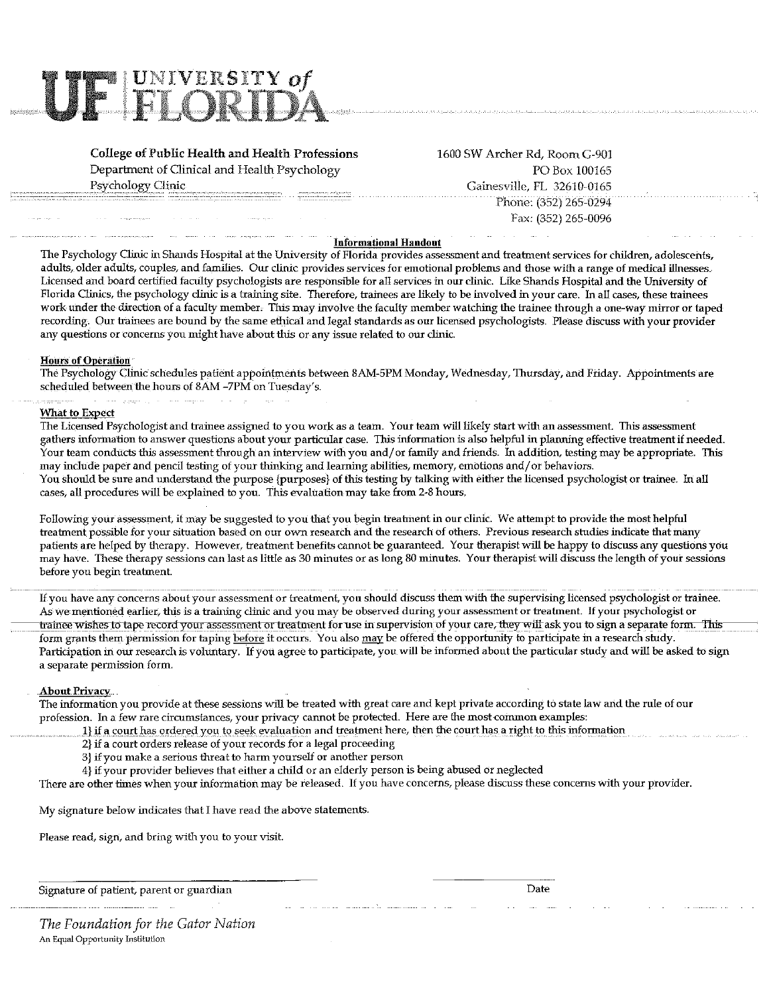

**College of Public Health and Health Professions** Department of Clinical and Health Psychology Psychology Clinic

1600 SW Archer Rd, Room G-901 PO Box 100165 Gainesville, FL 32610-0165 Phone: (352) 265-0294 Fax: (352) 265-0096

#### **Informational Handout**

The Psychology Clinic in Shands Hospital at the University of Florida provides assessment and treatment services for children, adolescents, adults, older adults, couples, and families. Our clinic provides services for emotional problems and those with a range of medical illnesses. Licensed and board certified faculty psychologists are responsible for all services in our clinic. Like Shands Hospital and the University of Florida Clinics, the psychology clinic is a training site. Therefore, trainees are likely to be involved in your care. In all cases, these trainees work under the direction of a faculty member. This may involve the faculty member watching the trainee through a one-way mirror or taped recording. Our trainees are bound by the same ethical and legal standards as our licensed psychologists. Please discuss with your provider any questions or concerns you might have about this or any issue related to our clinic.

#### **Hours of Operation**

The Psychology Clinic schedules patient appointments between 8AM-5PM Monday, Wednesday, Thursday, and Friday. Appointments are scheduled between the hours of 8AM -7PM on Tuesday's.

#### What to Expect

The Licensed Psychologist and trainee assigned to you work as a team. Your team will likely start with an assessment. This assessment gathers information to answer questions about your particular case. This information is also helpful in planning effective treatment if needed. Your team conducts this assessment through an interview with you and/or family and friends. In addition, testing may be appropriate. This may include paper and pencil testing of your thinking and learning abilities, memory, emotions and/or behaviors. You should be sure and understand the purpose {purposes} of this testing by talking with either the licensed psychologist or trainee. In all cases, all procedures will be explained to you. This evaluation may take from 2-8 hours.

Following your assessment, it may be suggested to you that you begin treatment in our clinic. We attempt to provide the most helpful treatment possible for your situation based on our own research and the research of others. Previous research studies indicate that many patients are helped by therapy. However, treatment benefits cannot be guaranteed. Your therapist will be happy to discuss any questions you may have. These therapy sessions can last as little as 30 minutes or as long 80 minutes. Your therapist will discuss the length of your sessions before you begin treatment.

If you have any concerns about your assessment or treatment, you should discuss them with the supervising licensed psychologist or trainee. As we mentioned earlier, this is a training clinic and you may be observed during your assessment or treatment. If your psychologist or trainee wishes to tape record your assessment or treatment for use in supervision of your care, they will ask you to sign a separate form. This form grants them permission for taping before it occurs. You also may be offered the opportunity to participate in a research study. Participation in our research is voluntary. If you agree to participate, you will be informed about the particular study and will be asked to sign a separate permission form.

## **About Privacy**

The information you provide at these sessions will be treated with great care and kept private according to state law and the rule of our profession. In a few rare circumstances, your privacy cannot be protected. Here are the most common examples:

- 1) if a court has ordered you to seek evaluation and treatment here, then the court has a right to this information
- 2} if a court orders release of your records for a legal proceeding
- 3} if you make a serious threat to harm yourself or another person
- 4) if your provider believes that either a child or an elderly person is being abused or neglected

There are other times when your information may be released. If you have concerns, please discuss these concerns with your provider.

My signature below indicates that I have read the above statements.

Please read, sign, and bring with you to your visit.

Signature of patient, parent or guardian

Date

The Foundation for the Gator Nation An Equal Opportunity Institution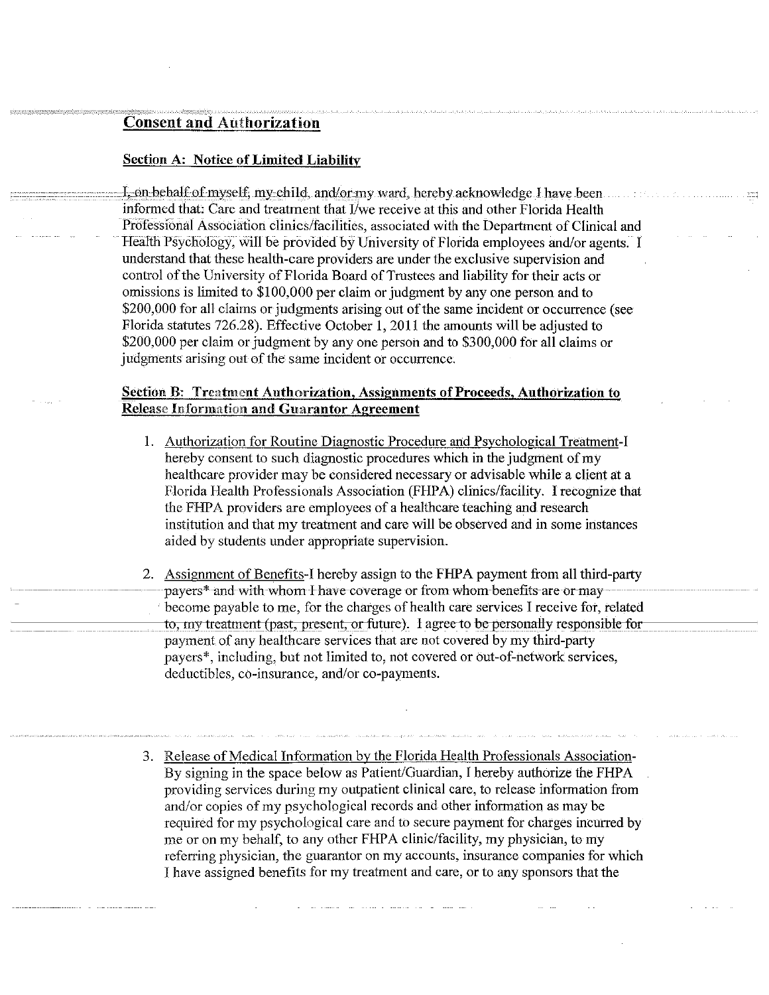# **Consent and Authorization**

## **Section A: Notice of Limited Liability**

I, on behalf of myself, my child, and/or my ward, hereby acknowledge I have been informed that: Care and treatment that I/we receive at this and other Florida Health Professional Association clinics/facilities, associated with the Department of Clinical and Health Psychology, will be provided by University of Florida employees and/or agents. I understand that these health-care providers are under the exclusive supervision and control of the University of Florida Board of Trustees and liability for their acts or omissions is limited to \$100,000 per claim or judgment by any one person and to \$200,000 for all claims or judgments arising out of the same incident or occurrence (see Florida statutes 726.28). Effective October 1, 2011 the amounts will be adjusted to \$200,000 per claim or judgment by any one person and to \$300,000 for all claims or judgments arising out of the same incident or occurrence.

# **Section B: Treatment Authorization, Assignments of Proceeds, Authorization to Release Information and Guarantor Agreement**

- 1. Authorization for Routine Diagnostic Procedure and Psychological Treatment-I hereby consent to such diagnostic procedures which in the judgment of my healthcare provider may be considered necessary or advisable while a client at a Florida Health Professionals Association (FHPA) clinics/facility. I recognize that the FHPA providers are employees of a healthcare teaching and research institution and that my treatment and care will be observed and in some instances aided by students under appropriate supervision.
- 2. Assignment of Benefits-I hereby assign to the FHPA payment from all third-party payers\* and with whom I have coverage or from whom benefits are or may become payable to me, for the charges of health care services I receive for, related to, my treatment (past, present, or future). I agree to be personally responsible for payment of any healthcare services that are not covered by my third-party payers\*, including, but not limited to, not covered or out-of-network services, deductibles, co-insurance, and/or co-payments.
- 3. Release of Medical Information by the Florida Health Professionals Association-By signing in the space below as Patient/Guardian, I hereby authorize the FHPA providing services during my outpatient clinical care, to release information from and/or copies of my psychological records and other information as may be required for my psychological care and to secure payment for charges incurred by me or on my behalf, to any other FHPA clinic/facility, my physician, to my referring physician, the guarantor on my accounts, insurance companies for which I have assigned benefits for my treatment and care, or to any sponsors that the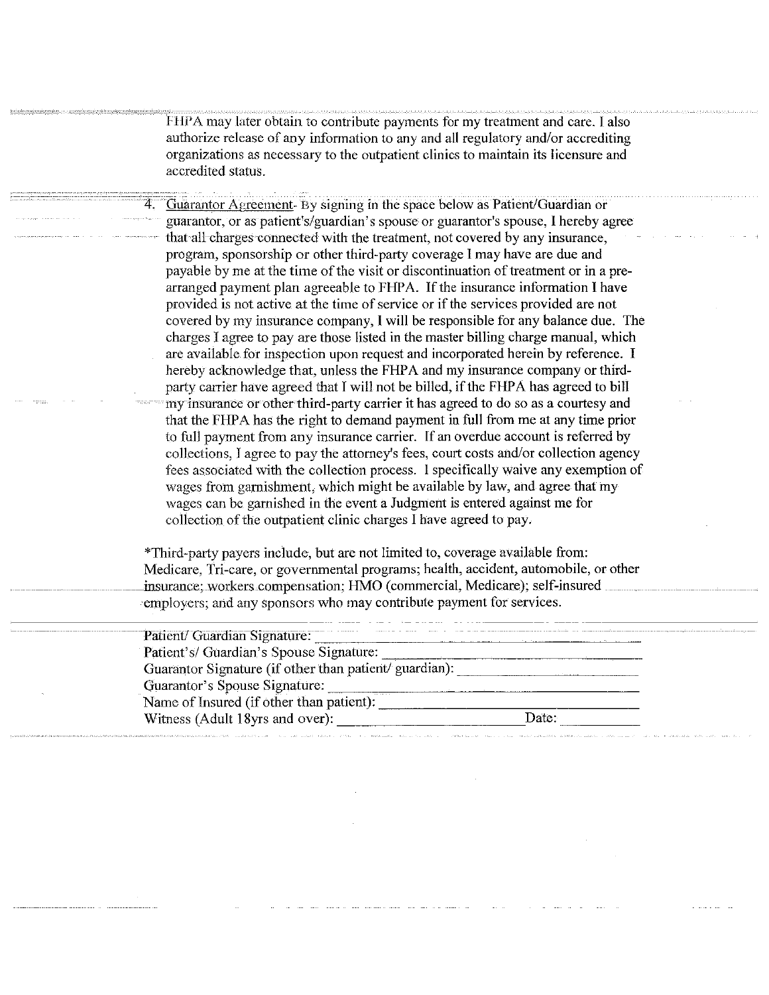FHPA may later obtain to contribute payments for my treatment and care. I also authorize release of any information to any and all regulatory and/or accrediting organizations as necessary to the outpatient clinics to maintain its licensure and accredited status.

Guarantor Agreement- By signing in the space below as Patient/Guardian or guarantor, or as patient's/guardian's spouse or guarantor's spouse, I hereby agree that all charges connected with the treatment, not covered by any insurance, program, sponsorship or other third-party coverage I may have are due and payable by me at the time of the visit or discontinuation of treatment or in a prearranged payment plan agreeable to FHPA. If the insurance information I have provided is not active at the time of service or if the services provided are not covered by my insurance company, I will be responsible for any balance due. The charges I agree to pay are those listed in the master billing charge manual, which are available for inspection upon request and incorporated herein by reference. I hereby acknowledge that, unless the FHPA and my insurance company or thirdparty carrier have agreed that I will not be billed, if the FHPA has agreed to bill my insurance or other third-party carrier it has agreed to do so as a courtesy and that the FHPA has the right to demand payment in full from me at any time prior to full payment from any insurance carrier. If an overdue account is referred by collections, I agree to pay the attorney's fees, court costs and/or collection agency fees associated with the collection process. I specifically waive any exemption of wages from garnishment, which might be available by law, and agree that my wages can be garnished in the event a Judgment is entered against me for collection of the outpatient clinic charges I have agreed to pay.

\*Third-party payers include, but are not limited to, coverage available from: Medicare, Tri-care, or governmental programs; health, accident, automobile, or other insurance; workers compensation; HMO (commercial, Medicare); self-insured employers; and any sponsors who may contribute payment for services.

| Patient/ Guardian Signature:                           | the continuous company of the fundamental company of the first that |
|--------------------------------------------------------|---------------------------------------------------------------------|
| Patient's/ Guardian's Spouse Signature:                |                                                                     |
| Guarantor Signature (if other than patient/ guardian): |                                                                     |
| Guarantor's Spouse Signature:                          |                                                                     |
| <br>Name of Insured (if other than patient):           |                                                                     |
| Witness (Adult 18yrs and over):                        | Date:                                                               |